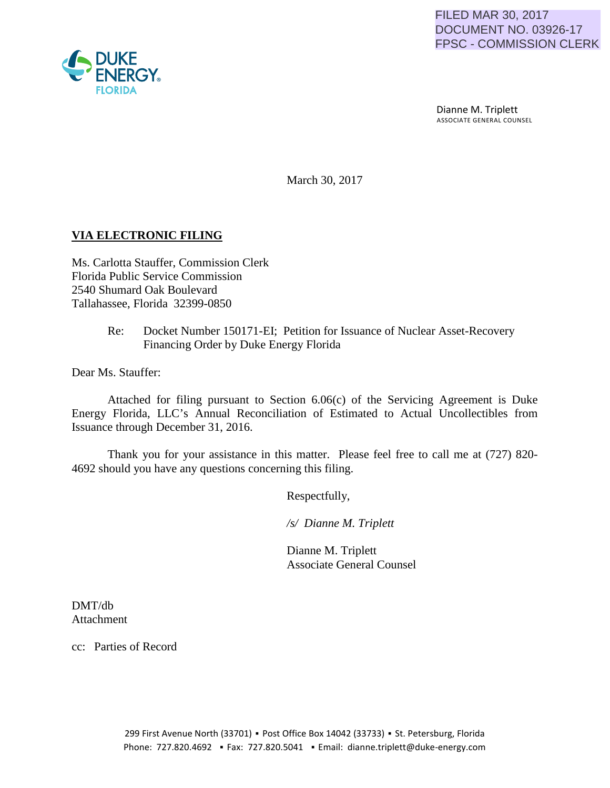

 Dianne M. Triplett ASSOCIATE GENERAL COUNSEL

March 30, 2017

## **VIA ELECTRONIC FILING**

Ms. Carlotta Stauffer, Commission Clerk Florida Public Service Commission 2540 Shumard Oak Boulevard Tallahassee, Florida 32399-0850

## Re: Docket Number 150171-EI; Petition for Issuance of Nuclear Asset-Recovery Financing Order by Duke Energy Florida

Dear Ms. Stauffer:

Attached for filing pursuant to Section 6.06(c) of the Servicing Agreement is Duke Energy Florida, LLC's Annual Reconciliation of Estimated to Actual Uncollectibles from Issuance through December 31, 2016.

Thank you for your assistance in this matter. Please feel free to call me at (727) 820- 4692 should you have any questions concerning this filing.

Respectfully,

 */s/ Dianne M. Triplett*

 Dianne M. Triplett Associate General Counsel

DMT/db Attachment

cc: Parties of Record